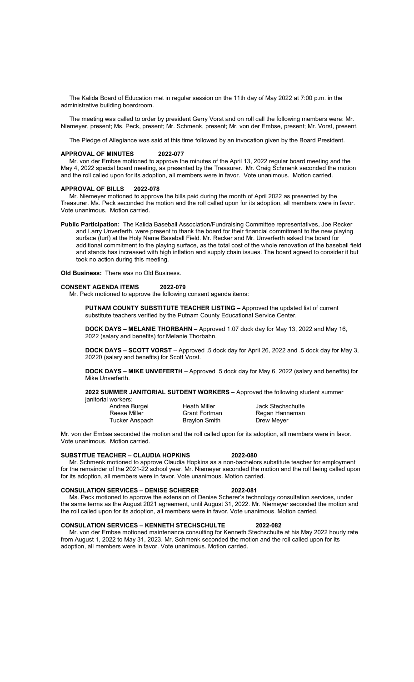The Kalida Board of Education met in regular session on the 11th day of May 2022 at 7:00 p.m. in the administrative building boardroom.

 The meeting was called to order by president Gerry Vorst and on roll call the following members were: Mr. Niemeyer, present; Ms. Peck, present; Mr. Schmenk, present; Mr. von der Embse, present; Mr. Vorst, present.

The Pledge of Allegiance was said at this time followed by an invocation given by the Board President.

## APPROVAL OF MINUTES 2022-077

 Mr. von der Embse motioned to approve the minutes of the April 13, 2022 regular board meeting and the May 4, 2022 special board meeting, as presented by the Treasurer. Mr. Craig Schmenk seconded the motion and the roll called upon for its adoption, all members were in favor. Vote unanimous. Motion carried.

### APPROVAL OF BILLS 2022-078

 Mr. Niemeyer motioned to approve the bills paid during the month of April 2022 as presented by the Treasurer. Ms. Peck seconded the motion and the roll called upon for its adoption, all members were in favor. Vote unanimous. Motion carried.

Public Participation: The Kalida Baseball Association/Fundraising Committee representatives, Joe Recker and Larry Unverferth, were present to thank the board for their financial commitment to the new playing surface (turf) at the Holy Name Baseball Field. Mr. Recker and Mr. Unverferth asked the board for additional commitment to the playing surface, as the total cost of the whole renovation of the baseball field and stands has increased with high inflation and supply chain issues. The board agreed to consider it but took no action during this meeting.

Old Business: There was no Old Business.

# CONSENT AGENDA ITEMS 2022-079

Mr. Peck motioned to approve the following consent agenda items:

PUTNAM COUNTY SUBSTITUTE TEACHER LISTING - Approved the updated list of current substitute teachers verified by the Putnam County Educational Service Center.

DOCK DAYS – MELANIE THORBAHN – Approved 1.07 dock day for May 13, 2022 and May 16, 2022 (salary and benefits) for Melanie Thorbahn.

DOCK DAYS – SCOTT VORST – Approved .5 dock day for April 26, 2022 and .5 dock day for May 3, 20220 (salary and benefits) for Scott Vorst.

DOCK DAYS - MIKE UNVEFERTH - Approved .5 dock day for May 6, 2022 (salary and benefits) for Mike Unverferth.

### 2022 SUMMER JANITORIAL SUTDENT WORKERS – Approved the following student summer ianitorial workers:

| Andrea Burgei  | <b>Heath Miller</b>  | Jack Stechschulte |
|----------------|----------------------|-------------------|
| Reese Miller   | <b>Grant Fortman</b> | Regan Hanneman    |
| Tucker Anspach | <b>Braylon Smith</b> | Drew Meyer        |

Mr. von der Embse seconded the motion and the roll called upon for its adoption, all members were in favor. Vote unanimous. Motion carried.

### SUBSTITUE TEACHER – CLAUDIA HOPKINS 2022-080

 Mr. Schmenk motioned to approve Claudia Hopkins as a non-bachelors substitute teacher for employment for the remainder of the 2021-22 school year. Mr. Niemeyer seconded the motion and the roll being called upon for its adoption, all members were in favor. Vote unanimous. Motion carried.

# CONSULATION SERVICES – DENISE SCHERER 2022-081

 Ms. Peck motioned to approve the extension of Denise Scherer's technology consultation services, under the same terms as the August 2021 agreement, until August 31, 2022. Mr. Niemeyer seconded the motion and the roll called upon for its adoption, all members were in favor. Vote unanimous. Motion carried.

## CONSULATION SERVICES – KENNETH STECHSCHULTE 2022-082

 Mr. von der Embse motioned maintenance consulting for Kenneth Stechschulte at his May 2022 hourly rate from August 1, 2022 to May 31, 2023. Mr. Schmenk seconded the motion and the roll called upon for its adoption, all members were in favor. Vote unanimous. Motion carried.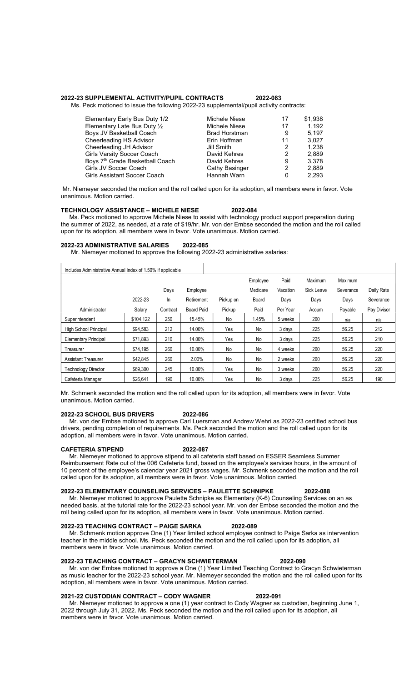### 2022-23 SUPPLEMENTAL ACTIVITY/PUPIL CONTRACTS 2022-083

Ms. Peck motioned to issue the following 2022-23 supplemental/pupil activity contracts:

| Elementary Early Bus Duty 1/2               | Michele Niese         | 17 | \$1,938 |
|---------------------------------------------|-----------------------|----|---------|
| Elementary Late Bus Duty 1/2                | Michele Niese         | 17 | 1.192   |
| Boys JV Basketball Coach                    | <b>Brad Horstman</b>  | 9  | 5.197   |
| Cheerleading HS Advisor                     | Erin Hoffman          | 11 | 3.027   |
| Cheerleading JH Advisor                     | Jill Smith            | 2  | 1.238   |
| Girls Varsity Soccer Coach                  | David Kehres          | 2  | 2,889   |
| Boys 7 <sup>th</sup> Grade Basketball Coach | David Kehres          | 9  | 3.378   |
| Girls JV Soccer Coach                       | <b>Cathy Basinger</b> | 2  | 2,889   |
| Girls Assistant Soccer Coach                | Hannah Warn           | 0  | 2.293   |

 Mr. Niemeyer seconded the motion and the roll called upon for its adoption, all members were in favor. Vote unanimous. Motion carried.

### TECHNOLOGY ASSISTANCE – MICHELE NIESE 2022-084

 Ms. Peck motioned to approve Michele Niese to assist with technology product support preparation during the summer of 2022, as needed, at a rate of \$19/hr. Mr. von der Embse seconded the motion and the roll called upon for its adoption, all members were in favor. Vote unanimous. Motion carried.

# 2022-23 ADMINISTRATIVE SALARIES 2022-085

Mr. Niemeyer motioned to approve the following 2022-23 administrative salaries:

| Includes Administrative Annual Index of 1.50% if applicable |           |          |                   |           |          |          |            |           |             |
|-------------------------------------------------------------|-----------|----------|-------------------|-----------|----------|----------|------------|-----------|-------------|
|                                                             |           |          |                   |           | Employee | Paid     | Maximum    | Maximum   |             |
|                                                             |           | Days     | Employee          |           | Medicare | Vacation | Sick Leave | Severance | Daily Rate  |
|                                                             | 2022-23   | In       | Retirement        | Pickup on | Board    | Days     | Days       | Days      | Severance   |
| Administrator                                               | Salary    | Contract | <b>Board Paid</b> | Pickup    | Paid     | Per Year | Accum      | Payable   | Pay Divisor |
| Superintendent                                              | \$104,122 | 250      | 15.45%            | No        | 1.45%    | 5 weeks  | 260        | n/a       | n/a         |
| High School Principal                                       | \$94,583  | 212      | 14.00%            | Yes       | No       | 3 days   | 225        | 56.25     | 212         |
| <b>Elementary Principal</b>                                 | \$71,893  | 210      | 14.00%            | Yes       | No       | 3 days   | 225        | 56.25     | 210         |
| Treasurer                                                   | \$74.195  | 260      | 10.00%            | No        | No       | 4 weeks  | 260        | 56.25     | 220         |
| <b>Assistant Treasurer</b>                                  | \$42.845  | 260      | 2.00%             | No        | No       | 2 weeks  | 260        | 56.25     | 220         |
| <b>Technology Director</b>                                  | \$69,300  | 245      | 10.00%            | Yes       | No       | 3 weeks  | 260        | 56.25     | 220         |
| Cafeteria Manager                                           | \$26,641  | 190      | 10.00%            | Yes       | No       | 3 days   | 225        | 56.25     | 190         |

Mr. Schmenk seconded the motion and the roll called upon for its adoption, all members were in favor. Vote unanimous. Motion carried.

### 2022-23 SCHOOL BUS DRIVERS 2022-086

 Mr. von der Embse motioned to approve Carl Luersman and Andrew Wehri as 2022-23 certified school bus drivers, pending completion of requirements. Ms. Peck seconded the motion and the roll called upon for its adoption, all members were in favor. Vote unanimous. Motion carried.

### CAFETERIA STIPEND 2022-087

 Mr. Niemeyer motioned to approve stipend to all cafeteria staff based on ESSER Seamless Summer Reimbursement Rate out of the 006 Cafeteria fund, based on the employee's services hours, in the amount of 10 percent of the employee's calendar year 2021 gross wages. Mr. Schmenk seconded the motion and the roll called upon for its adoption, all members were in favor. Vote unanimous. Motion carried.

# 2022-23 ELEMENTARY COUNSELING SERVICES – PAULETTE SCHNIPKE 2022-088

 Mr. Niemeyer motioned to approve Paulette Schnipke as Elementary (K-6) Counseling Services on an as needed basis, at the tutorial rate for the 2022-23 school year. Mr. von der Embse seconded the motion and the roll being called upon for its adoption, all members were in favor. Vote unanimous. Motion carried.

### 2022-23 TEACHING CONTRACT – PAIGE SARKA 2022-089

 Mr. Schmenk motion approve One (1) Year limited school employee contract to Paige Sarka as intervention teacher in the middle school. Ms. Peck seconded the motion and the roll called upon for its adoption, all members were in favor. Vote unanimous. Motion carried.

# 2022-23 TEACHING CONTRACT – GRACYN SCHWIETERMAN 2022-090

 Mr. von der Embse motioned to approve a One (1) Year Limited Teaching Contract to Gracyn Schwieterman as music teacher for the 2022-23 school year. Mr. Niemeyer seconded the motion and the roll called upon for its adoption, all members were in favor. Vote unanimous. Motion carried.

### 2021-22 CUSTODIAN CONTRACT – CODY WAGNER 2022-091

 Mr. Niemeyer motioned to approve a one (1) year contract to Cody Wagner as custodian, beginning June 1, 2022 through July 31, 2022. Ms. Peck seconded the motion and the roll called upon for its adoption, all members were in favor. Vote unanimous. Motion carried.